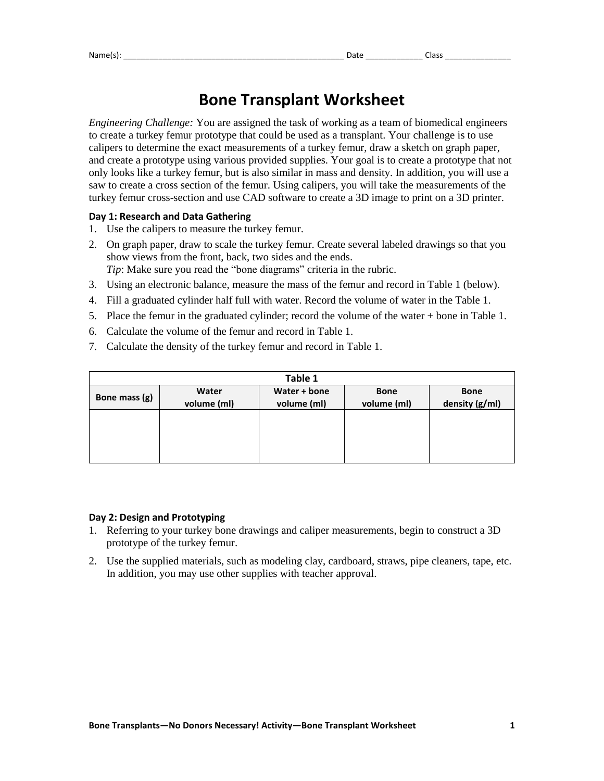# **Bone Transplant Worksheet**

*Engineering Challenge:* You are assigned the task of working as a team of biomedical engineers to create a turkey femur prototype that could be used as a transplant. Your challenge is to use calipers to determine the exact measurements of a turkey femur, draw a sketch on graph paper, and create a prototype using various provided supplies. Your goal is to create a prototype that not only looks like a turkey femur, but is also similar in mass and density. In addition, you will use a saw to create a cross section of the femur. Using calipers, you will take the measurements of the turkey femur cross-section and use CAD software to create a 3D image to print on a 3D printer.

## **Day 1: Research and Data Gathering**

- 1. Use the calipers to measure the turkey femur.
- 2. On graph paper, draw to scale the turkey femur. Create several labeled drawings so that you show views from the front, back, two sides and the ends. *Tip*: Make sure you read the "bone diagrams" criteria in the rubric.
- 3. Using an electronic balance, measure the mass of the femur and record in Table 1 (below).
- 4. Fill a graduated cylinder half full with water. Record the volume of water in the Table 1.
- 5. Place the femur in the graduated cylinder; record the volume of the water + bone in Table 1.
- 6. Calculate the volume of the femur and record in Table 1.
- 7. Calculate the density of the turkey femur and record in Table 1.

| Table 1       |                      |                             |                            |                               |
|---------------|----------------------|-----------------------------|----------------------------|-------------------------------|
| Bone mass (g) | Water<br>volume (ml) | Water + bone<br>volume (ml) | <b>Bone</b><br>volume (ml) | <b>Bone</b><br>density (g/ml) |
|               |                      |                             |                            |                               |
|               |                      |                             |                            |                               |
|               |                      |                             |                            |                               |

### **Day 2: Design and Prototyping**

- 1. Referring to your turkey bone drawings and caliper measurements, begin to construct a 3D prototype of the turkey femur.
- 2. Use the supplied materials, such as modeling clay, cardboard, straws, pipe cleaners, tape, etc. In addition, you may use other supplies with teacher approval.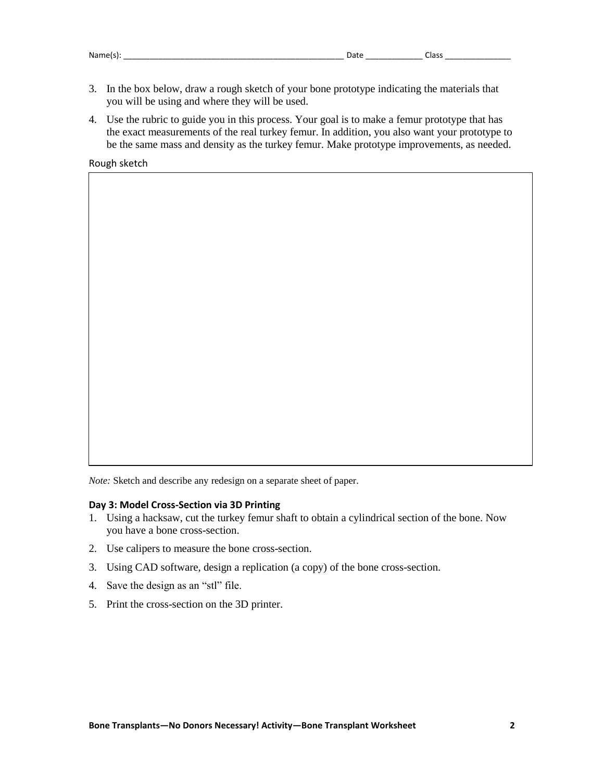- 3. In the box below, draw a rough sketch of your bone prototype indicating the materials that you will be using and where they will be used.
- 4. Use the rubric to guide you in this process. Your goal is to make a femur prototype that has the exact measurements of the real turkey femur. In addition, you also want your prototype to be the same mass and density as the turkey femur. Make prototype improvements, as needed.

Rough sketch

*Note:* Sketch and describe any redesign on a separate sheet of paper.

#### **Day 3: Model Cross-Section via 3D Printing**

- 1. Using a hacksaw, cut the turkey femur shaft to obtain a cylindrical section of the bone. Now you have a bone cross-section.
- 2. Use calipers to measure the bone cross-section.
- 3. Using CAD software, design a replication (a copy) of the bone cross-section.
- 4. Save the design as an "stl" file.
- 5. Print the cross-section on the 3D printer.